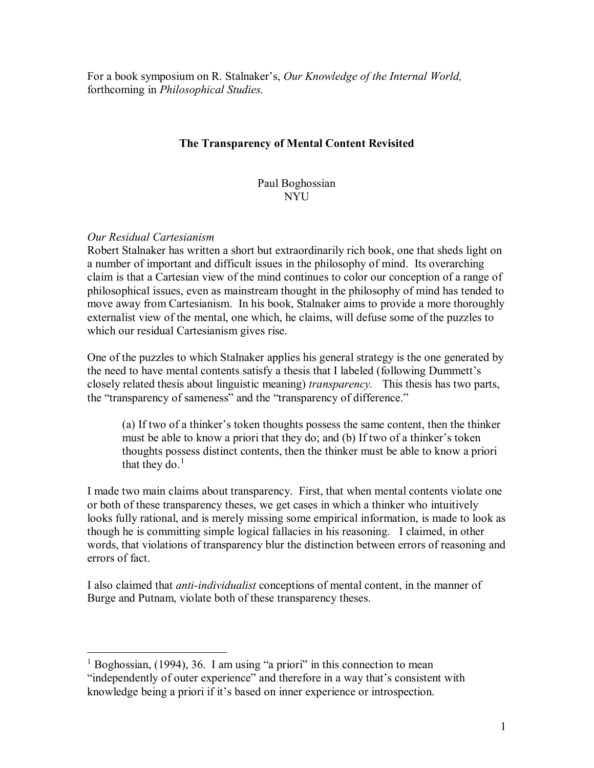For a book symposium on R. Stalnaker's, *Our Knowledge of the Internal World,*  forthcoming in *Philosophical Studies.* 

# **The Transparency of Mental Content Revisited**

Paul Boghossian **NYU** 

## *Our Residual Cartesianism*

Robert Stalnaker has written a short but extraordinarily rich book, one that sheds light on a number of important and difficult issues in the philosophy of mind. Its overarching claim is that a Cartesian view of the mind continues to color our conception of a range of philosophical issues, even as mainstream thought in the philosophy of mind has tended to move away from Cartesianism. In his book, Stalnaker aims to provide a more thoroughly externalist view of the mental, one which, he claims, will defuse some of the puzzles to which our residual Cartesianism gives rise.

One of the puzzles to which Stalnaker applies his general strategy is the one generated by the need to have mental contents satisfy a thesis that I labeled (following Dummett's closely related thesis about linguistic meaning) *transparency.* This thesis has two parts, the "transparency of sameness" and the "transparency of difference."

(a) If two of a thinker's token thoughts possess the same content, then the thinker must be able to know a priori that they do; and (b) If two of a thinker's token thoughts possess distinct contents, then the thinker must be able to know a priori that they do. $<sup>1</sup>$  $<sup>1</sup>$  $<sup>1</sup>$ </sup>

I made two main claims about transparency. First, that when mental contents violate one or both of these transparency theses, we get cases in which a thinker who intuitively looks fully rational, and is merely missing some empirical information, is made to look as though he is committing simple logical fallacies in his reasoning. I claimed, in other words, that violations of transparency blur the distinction between errors of reasoning and errors of fact.

I also claimed that *anti-individualist* conceptions of mental content, in the manner of Burge and Putnam, violate both of these transparency theses.

<span id="page-0-0"></span><sup>&</sup>lt;sup>1</sup> Boghossian, (1994), 36. I am using "a priori" in this connection to mean "independently of outer experience" and therefore in a way that's consistent with

knowledge being a priori if it's based on inner experience or introspection.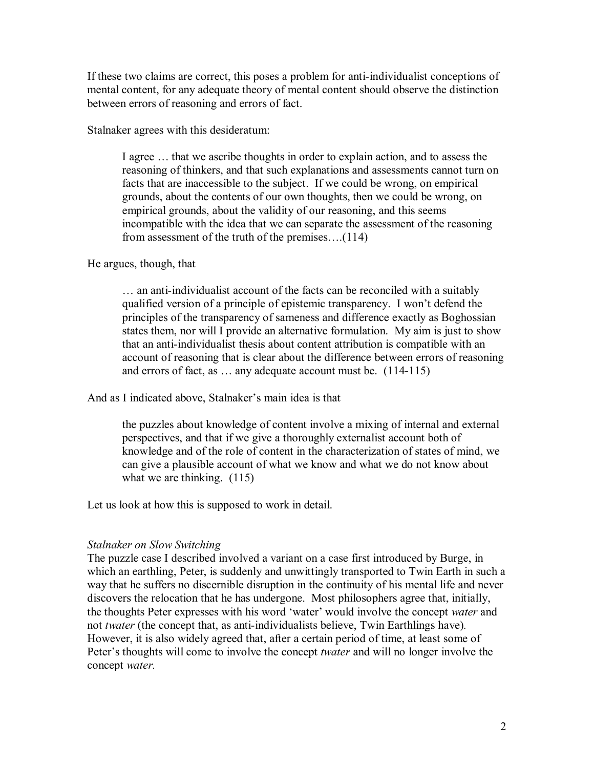If these two claims are correct, this poses a problem for anti-individualist conceptions of mental content, for any adequate theory of mental content should observe the distinction between errors of reasoning and errors of fact.

Stalnaker agrees with this desideratum:

I agree … that we ascribe thoughts in order to explain action, and to assess the reasoning of thinkers, and that such explanations and assessments cannot turn on facts that are inaccessible to the subject. If we could be wrong, on empirical grounds, about the contents of our own thoughts, then we could be wrong, on empirical grounds, about the validity of our reasoning, and this seems incompatible with the idea that we can separate the assessment of the reasoning from assessment of the truth of the premises….(114)

#### He argues, though, that

… an anti-individualist account of the facts can be reconciled with a suitably qualified version of a principle of epistemic transparency. I won't defend the principles of the transparency of sameness and difference exactly as Boghossian states them, nor will I provide an alternative formulation. My aim is just to show that an anti-individualist thesis about content attribution is compatible with an account of reasoning that is clear about the difference between errors of reasoning and errors of fact, as … any adequate account must be. (114-115)

And as I indicated above, Stalnaker's main idea is that

the puzzles about knowledge of content involve a mixing of internal and external perspectives, and that if we give a thoroughly externalist account both of knowledge and of the role of content in the characterization of states of mind, we can give a plausible account of what we know and what we do not know about what we are thinking.  $(115)$ 

Let us look at how this is supposed to work in detail.

#### *Stalnaker on Slow Switching*

The puzzle case I described involved a variant on a case first introduced by Burge, in which an earthling, Peter, is suddenly and unwittingly transported to Twin Earth in such a way that he suffers no discernible disruption in the continuity of his mental life and never discovers the relocation that he has undergone. Most philosophers agree that, initially, the thoughts Peter expresses with his word 'water' would involve the concept *water* and not *twater* (the concept that, as anti-individualists believe, Twin Earthlings have)*.* However, it is also widely agreed that, after a certain period of time, at least some of Peter's thoughts will come to involve the concept *twater* and will no longer involve the concept *water.*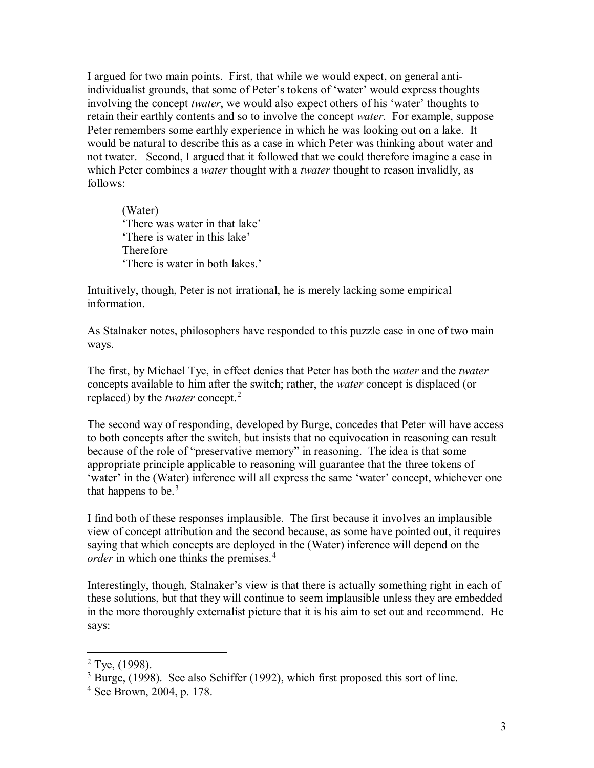I argued for two main points. First, that while we would expect, on general antiindividualist grounds, that some of Peter's tokens of 'water' would express thoughts involving the concept *twater*, we would also expect others of his 'water' thoughts to retain their earthly contents and so to involve the concept *water*. For example, suppose Peter remembers some earthly experience in which he was looking out on a lake. It would be natural to describe this as a case in which Peter was thinking about water and not twater. Second, I argued that it followed that we could therefore imagine a case in which Peter combines a *water* thought with a *twater* thought to reason invalidly, as follows:

(Water) 'There was water in that lake' 'There is water in this lake' Therefore 'There is water in both lakes.'

Intuitively, though, Peter is not irrational, he is merely lacking some empirical information.

As Stalnaker notes, philosophers have responded to this puzzle case in one of two main ways.

The first, by Michael Tye, in effect denies that Peter has both the *water* and the *twater* concepts available to him after the switch; rather, the *water* concept is displaced (or replaced) by the *twater* concept.[2](#page-2-0)

The second way of responding, developed by Burge, concedes that Peter will have access to both concepts after the switch, but insists that no equivocation in reasoning can result because of the role of "preservative memory" in reasoning. The idea is that some appropriate principle applicable to reasoning will guarantee that the three tokens of 'water' in the (Water) inference will all express the same 'water' concept, whichever one that happens to be.<sup>[3](#page-2-1)</sup>

I find both of these responses implausible. The first because it involves an implausible view of concept attribution and the second because, as some have pointed out, it requires saying that which concepts are deployed in the (Water) inference will depend on the *order* in which one thinks the premises.<sup>[4](#page-2-2)</sup>

Interestingly, though, Stalnaker's view is that there is actually something right in each of these solutions, but that they will continue to seem implausible unless they are embedded in the more thoroughly externalist picture that it is his aim to set out and recommend. He says:

<span id="page-2-0"></span> $2$  Tye, (1998).

<span id="page-2-1"></span><sup>&</sup>lt;sup>3</sup> Burge, (1998). See also Schiffer (1992), which first proposed this sort of line.

<span id="page-2-2"></span> $4$  See Brown, 2004, p. 178.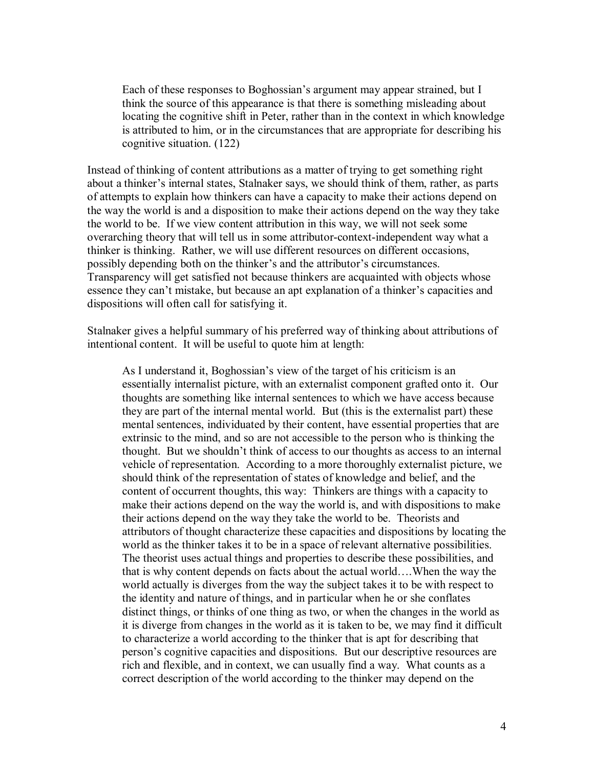Each of these responses to Boghossian's argument may appear strained, but I think the source of this appearance is that there is something misleading about locating the cognitive shift in Peter, rather than in the context in which knowledge is attributed to him, or in the circumstances that are appropriate for describing his cognitive situation. (122)

Instead of thinking of content attributions as a matter of trying to get something right about a thinker's internal states, Stalnaker says, we should think of them, rather, as parts of attempts to explain how thinkers can have a capacity to make their actions depend on the way the world is and a disposition to make their actions depend on the way they take the world to be. If we view content attribution in this way, we will not seek some overarching theory that will tell us in some attributor-context-independent way what a thinker is thinking. Rather, we will use different resources on different occasions, possibly depending both on the thinker's and the attributor's circumstances. Transparency will get satisfied not because thinkers are acquainted with objects whose essence they can't mistake, but because an apt explanation of a thinker's capacities and dispositions will often call for satisfying it.

Stalnaker gives a helpful summary of his preferred way of thinking about attributions of intentional content. It will be useful to quote him at length:

As I understand it, Boghossian's view of the target of his criticism is an essentially internalist picture, with an externalist component grafted onto it. Our thoughts are something like internal sentences to which we have access because they are part of the internal mental world. But (this is the externalist part) these mental sentences, individuated by their content, have essential properties that are extrinsic to the mind, and so are not accessible to the person who is thinking the thought. But we shouldn't think of access to our thoughts as access to an internal vehicle of representation. According to a more thoroughly externalist picture, we should think of the representation of states of knowledge and belief, and the content of occurrent thoughts, this way: Thinkers are things with a capacity to make their actions depend on the way the world is, and with dispositions to make their actions depend on the way they take the world to be. Theorists and attributors of thought characterize these capacities and dispositions by locating the world as the thinker takes it to be in a space of relevant alternative possibilities. The theorist uses actual things and properties to describe these possibilities, and that is why content depends on facts about the actual world….When the way the world actually is diverges from the way the subject takes it to be with respect to the identity and nature of things, and in particular when he or she conflates distinct things, or thinks of one thing as two, or when the changes in the world as it is diverge from changes in the world as it is taken to be, we may find it difficult to characterize a world according to the thinker that is apt for describing that person's cognitive capacities and dispositions. But our descriptive resources are rich and flexible, and in context, we can usually find a way. What counts as a correct description of the world according to the thinker may depend on the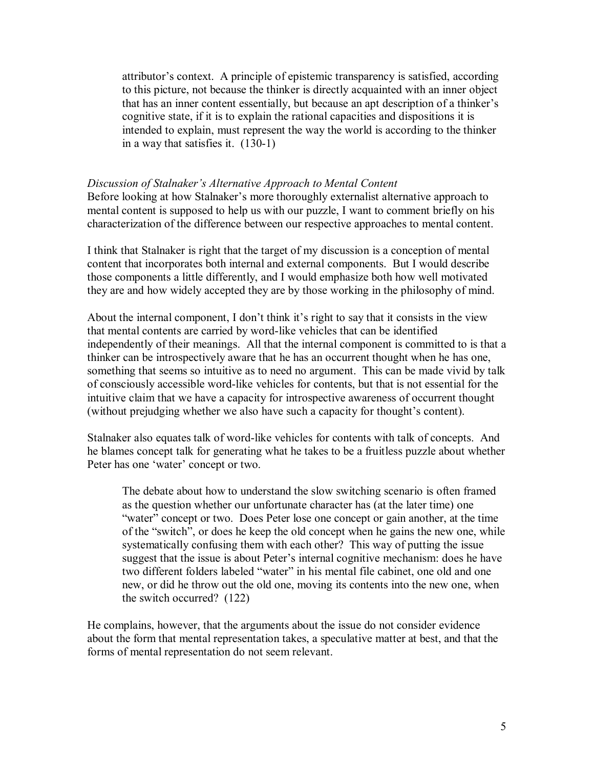attributor's context. A principle of epistemic transparency is satisfied, according to this picture, not because the thinker is directly acquainted with an inner object that has an inner content essentially, but because an apt description of a thinker's cognitive state, if it is to explain the rational capacities and dispositions it is intended to explain, must represent the way the world is according to the thinker in a way that satisfies it. (130-1)

### *Discussion of Stalnaker's Alternative Approach to Mental Content*

Before looking at how Stalnaker's more thoroughly externalist alternative approach to mental content is supposed to help us with our puzzle, I want to comment briefly on his characterization of the difference between our respective approaches to mental content.

I think that Stalnaker is right that the target of my discussion is a conception of mental content that incorporates both internal and external components. But I would describe those components a little differently, and I would emphasize both how well motivated they are and how widely accepted they are by those working in the philosophy of mind.

About the internal component, I don't think it's right to say that it consists in the view that mental contents are carried by word-like vehicles that can be identified independently of their meanings. All that the internal component is committed to is that a thinker can be introspectively aware that he has an occurrent thought when he has one, something that seems so intuitive as to need no argument. This can be made vivid by talk of consciously accessible word-like vehicles for contents, but that is not essential for the intuitive claim that we have a capacity for introspective awareness of occurrent thought (without prejudging whether we also have such a capacity for thought's content).

Stalnaker also equates talk of word-like vehicles for contents with talk of concepts. And he blames concept talk for generating what he takes to be a fruitless puzzle about whether Peter has one 'water' concept or two.

The debate about how to understand the slow switching scenario is often framed as the question whether our unfortunate character has (at the later time) one "water" concept or two. Does Peter lose one concept or gain another, at the time of the "switch", or does he keep the old concept when he gains the new one, while systematically confusing them with each other? This way of putting the issue suggest that the issue is about Peter's internal cognitive mechanism: does he have two different folders labeled "water" in his mental file cabinet, one old and one new, or did he throw out the old one, moving its contents into the new one, when the switch occurred? (122)

He complains, however, that the arguments about the issue do not consider evidence about the form that mental representation takes, a speculative matter at best, and that the forms of mental representation do not seem relevant.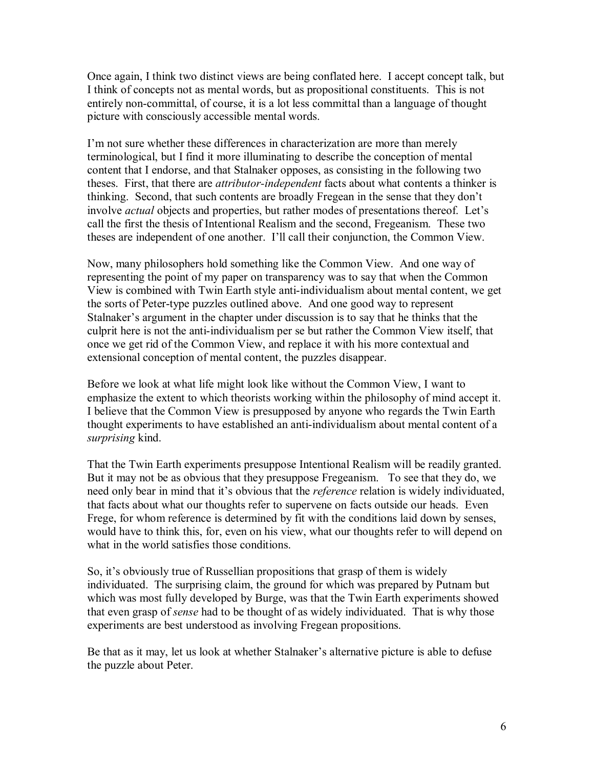Once again, I think two distinct views are being conflated here. I accept concept talk, but I think of concepts not as mental words, but as propositional constituents. This is not entirely non-committal, of course, it is a lot less committal than a language of thought picture with consciously accessible mental words.

I'm not sure whether these differences in characterization are more than merely terminological, but I find it more illuminating to describe the conception of mental content that I endorse, and that Stalnaker opposes, as consisting in the following two theses. First, that there are *attributor-independent* facts about what contents a thinker is thinking. Second, that such contents are broadly Fregean in the sense that they don't involve *actual* objects and properties, but rather modes of presentations thereof. Let's call the first the thesis of Intentional Realism and the second, Fregeanism. These two theses are independent of one another. I'll call their conjunction, the Common View.

Now, many philosophers hold something like the Common View. And one way of representing the point of my paper on transparency was to say that when the Common View is combined with Twin Earth style anti-individualism about mental content, we get the sorts of Peter-type puzzles outlined above. And one good way to represent Stalnaker's argument in the chapter under discussion is to say that he thinks that the culprit here is not the anti-individualism per se but rather the Common View itself, that once we get rid of the Common View, and replace it with his more contextual and extensional conception of mental content, the puzzles disappear.

Before we look at what life might look like without the Common View, I want to emphasize the extent to which theorists working within the philosophy of mind accept it. I believe that the Common View is presupposed by anyone who regards the Twin Earth thought experiments to have established an anti-individualism about mental content of a *surprising* kind.

That the Twin Earth experiments presuppose Intentional Realism will be readily granted. But it may not be as obvious that they presuppose Fregeanism. To see that they do, we need only bear in mind that it's obvious that the *reference* relation is widely individuated, that facts about what our thoughts refer to supervene on facts outside our heads. Even Frege, for whom reference is determined by fit with the conditions laid down by senses, would have to think this, for, even on his view, what our thoughts refer to will depend on what in the world satisfies those conditions.

So, it's obviously true of Russellian propositions that grasp of them is widely individuated. The surprising claim, the ground for which was prepared by Putnam but which was most fully developed by Burge, was that the Twin Earth experiments showed that even grasp of *sense* had to be thought of as widely individuated. That is why those experiments are best understood as involving Fregean propositions.

Be that as it may, let us look at whether Stalnaker's alternative picture is able to defuse the puzzle about Peter.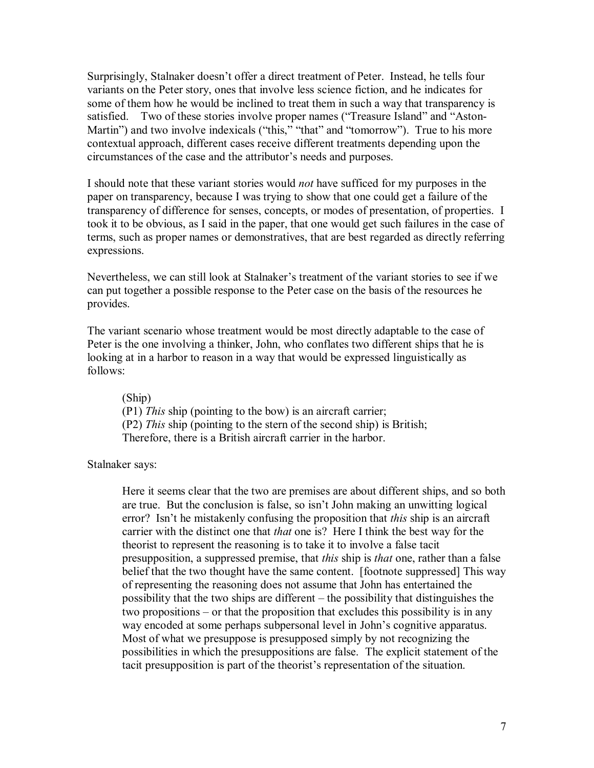Surprisingly, Stalnaker doesn't offer a direct treatment of Peter. Instead, he tells four variants on the Peter story, ones that involve less science fiction, and he indicates for some of them how he would be inclined to treat them in such a way that transparency is satisfied. Two of these stories involve proper names ("Treasure Island" and "Aston-Martin") and two involve indexicals ("this," "that" and "tomorrow"). True to his more contextual approach, different cases receive different treatments depending upon the circumstances of the case and the attributor's needs and purposes.

I should note that these variant stories would *not* have sufficed for my purposes in the paper on transparency, because I was trying to show that one could get a failure of the transparency of difference for senses, concepts, or modes of presentation, of properties. I took it to be obvious, as I said in the paper, that one would get such failures in the case of terms, such as proper names or demonstratives, that are best regarded as directly referring expressions.

Nevertheless, we can still look at Stalnaker's treatment of the variant stories to see if we can put together a possible response to the Peter case on the basis of the resources he provides.

The variant scenario whose treatment would be most directly adaptable to the case of Peter is the one involving a thinker, John, who conflates two different ships that he is looking at in a harbor to reason in a way that would be expressed linguistically as follows:

(Ship) (P1) *This* ship (pointing to the bow) is an aircraft carrier; (P2) *This* ship (pointing to the stern of the second ship) is British; Therefore, there is a British aircraft carrier in the harbor.

Stalnaker says:

Here it seems clear that the two are premises are about different ships, and so both are true. But the conclusion is false, so isn't John making an unwitting logical error? Isn't he mistakenly confusing the proposition that *this* ship is an aircraft carrier with the distinct one that *that* one is? Here I think the best way for the theorist to represent the reasoning is to take it to involve a false tacit presupposition, a suppressed premise, that *this* ship is *that* one, rather than a false belief that the two thought have the same content. [footnote suppressed] This way of representing the reasoning does not assume that John has entertained the possibility that the two ships are different – the possibility that distinguishes the two propositions – or that the proposition that excludes this possibility is in any way encoded at some perhaps subpersonal level in John's cognitive apparatus. Most of what we presuppose is presupposed simply by not recognizing the possibilities in which the presuppositions are false. The explicit statement of the tacit presupposition is part of the theorist's representation of the situation.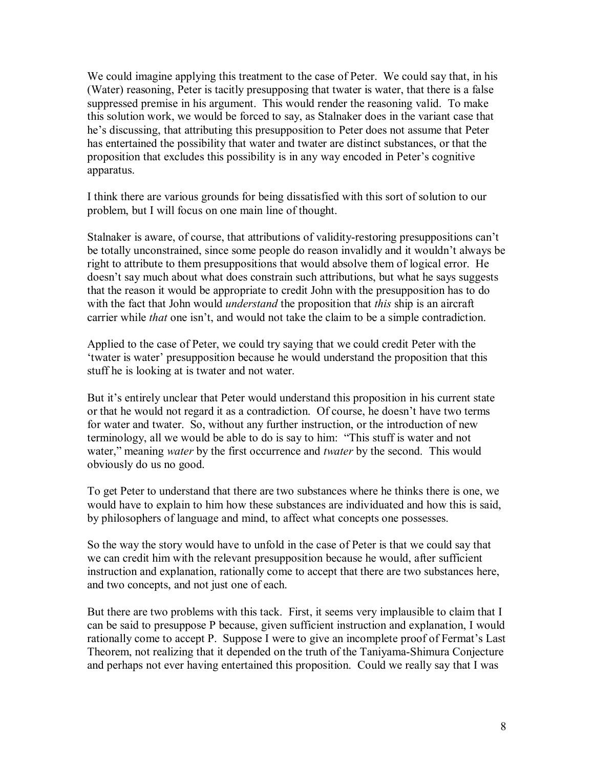We could imagine applying this treatment to the case of Peter. We could say that, in his (Water) reasoning, Peter is tacitly presupposing that twater is water, that there is a false suppressed premise in his argument. This would render the reasoning valid. To make this solution work, we would be forced to say, as Stalnaker does in the variant case that he's discussing, that attributing this presupposition to Peter does not assume that Peter has entertained the possibility that water and twater are distinct substances, or that the proposition that excludes this possibility is in any way encoded in Peter's cognitive apparatus.

I think there are various grounds for being dissatisfied with this sort of solution to our problem, but I will focus on one main line of thought.

Stalnaker is aware, of course, that attributions of validity-restoring presuppositions can't be totally unconstrained, since some people do reason invalidly and it wouldn't always be right to attribute to them presuppositions that would absolve them of logical error. He doesn't say much about what does constrain such attributions, but what he says suggests that the reason it would be appropriate to credit John with the presupposition has to do with the fact that John would *understand* the proposition that *this* ship is an aircraft carrier while *that* one isn't, and would not take the claim to be a simple contradiction.

Applied to the case of Peter, we could try saying that we could credit Peter with the 'twater is water' presupposition because he would understand the proposition that this stuff he is looking at is twater and not water.

But it's entirely unclear that Peter would understand this proposition in his current state or that he would not regard it as a contradiction. Of course, he doesn't have two terms for water and twater. So, without any further instruction, or the introduction of new terminology, all we would be able to do is say to him: "This stuff is water and not water," meaning *water* by the first occurrence and *twater* by the second. This would obviously do us no good.

To get Peter to understand that there are two substances where he thinks there is one, we would have to explain to him how these substances are individuated and how this is said, by philosophers of language and mind, to affect what concepts one possesses.

So the way the story would have to unfold in the case of Peter is that we could say that we can credit him with the relevant presupposition because he would, after sufficient instruction and explanation, rationally come to accept that there are two substances here, and two concepts, and not just one of each.

But there are two problems with this tack. First, it seems very implausible to claim that I can be said to presuppose P because, given sufficient instruction and explanation, I would rationally come to accept P. Suppose I were to give an incomplete proof of Fermat's Last Theorem, not realizing that it depended on the truth of the Taniyama-Shimura Conjecture and perhaps not ever having entertained this proposition. Could we really say that I was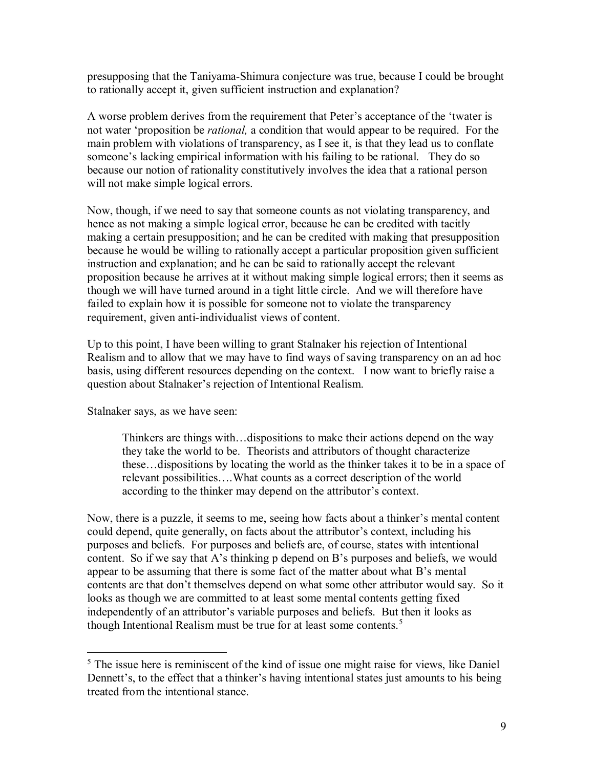presupposing that the Taniyama-Shimura conjecture was true, because I could be brought to rationally accept it, given sufficient instruction and explanation?

A worse problem derives from the requirement that Peter's acceptance of the 'twater is not water 'proposition be *rational,* a condition that would appear to be required. For the main problem with violations of transparency, as I see it, is that they lead us to conflate someone's lacking empirical information with his failing to be rational. They do so because our notion of rationality constitutively involves the idea that a rational person will not make simple logical errors.

Now, though, if we need to say that someone counts as not violating transparency, and hence as not making a simple logical error, because he can be credited with tacitly making a certain presupposition; and he can be credited with making that presupposition because he would be willing to rationally accept a particular proposition given sufficient instruction and explanation; and he can be said to rationally accept the relevant proposition because he arrives at it without making simple logical errors; then it seems as though we will have turned around in a tight little circle. And we will therefore have failed to explain how it is possible for someone not to violate the transparency requirement, given anti-individualist views of content.

Up to this point, I have been willing to grant Stalnaker his rejection of Intentional Realism and to allow that we may have to find ways of saving transparency on an ad hoc basis, using different resources depending on the context. I now want to briefly raise a question about Stalnaker's rejection of Intentional Realism.

Stalnaker says, as we have seen:

Thinkers are things with…dispositions to make their actions depend on the way they take the world to be. Theorists and attributors of thought characterize these…dispositions by locating the world as the thinker takes it to be in a space of relevant possibilities….What counts as a correct description of the world according to the thinker may depend on the attributor's context.

Now, there is a puzzle, it seems to me, seeing how facts about a thinker's mental content could depend, quite generally, on facts about the attributor's context, including his purposes and beliefs. For purposes and beliefs are, of course, states with intentional content. So if we say that A's thinking p depend on B's purposes and beliefs, we would appear to be assuming that there is some fact of the matter about what B's mental contents are that don't themselves depend on what some other attributor would say. So it looks as though we are committed to at least some mental contents getting fixed independently of an attributor's variable purposes and beliefs. But then it looks as though Intentional Realism must be true for at least some contents.<sup>[5](#page-8-0)</sup>

<span id="page-8-0"></span> $<sup>5</sup>$  The issue here is reminiscent of the kind of issue one might raise for views, like Daniel</sup> Dennett's, to the effect that a thinker's having intentional states just amounts to his being treated from the intentional stance.